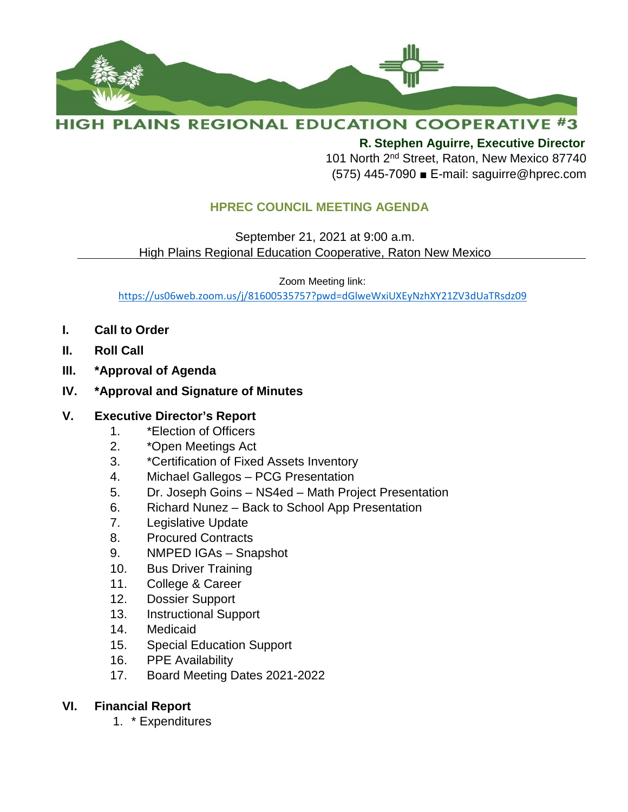

# **HIGH PLAINS REGIONAL EDUCATION COOPERATIVE #3**

**R. Stephen Aguirre, Executive Director** 

101 North 2<sup>nd</sup> Street, Raton, New Mexico 87740 (575) 445-7090 ■ E-mail: saguirre@hprec.com

# **HPREC COUNCIL MEETING AGENDA**

 September 21, 2021 at 9:00 a.m. High Plains Regional Education Cooperative, Raton New Mexico

Zoom Meeting link:

<https://us06web.zoom.us/j/81600535757?pwd=dGlweWxiUXEyNzhXY21ZV3dUaTRsdz09>

- **I. Call to Order**
- **II. Roll Call**
- **III. \*Approval of Agenda**
- **IV. \*Approval and Signature of Minutes**

#### **V. Executive Director's Report**

- 1. \*Election of Officers
- 2. \*Open Meetings Act
- 3. \*Certification of Fixed Assets Inventory
- 4. Michael Gallegos PCG Presentation
- 5. Dr. Joseph Goins NS4ed Math Project Presentation
- 6. Richard Nunez Back to School App Presentation
- 7. Legislative Update
- 8. Procured Contracts
- 9. NMPED IGAs Snapshot
- 10. Bus Driver Training
- 11. College & Career
- 12. Dossier Support
- 13. Instructional Support
- 14. Medicaid
- 15. Special Education Support
- 16. PPE Availability
- 17. Board Meeting Dates 2021-2022

### **VI. Financial Report**

1. \* Expenditures